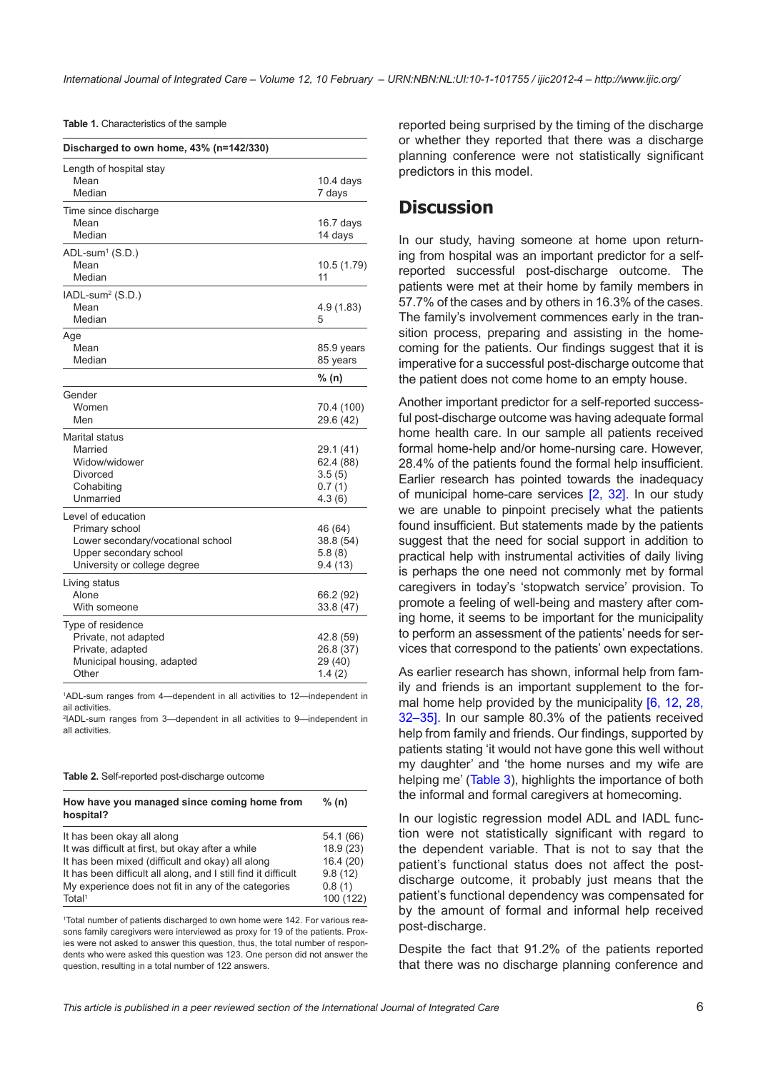|  | Table 1. Characteristics of the sample |  |  |
|--|----------------------------------------|--|--|
|--|----------------------------------------|--|--|

| Discharged to own home, 43% (n=142/330)                                                                                             |                                                      |  |  |
|-------------------------------------------------------------------------------------------------------------------------------------|------------------------------------------------------|--|--|
| Length of hospital stay<br>Mean<br>Median                                                                                           | 10.4 days<br>7 days                                  |  |  |
| Time since discharge<br>Mean<br>Median                                                                                              | 16.7 days<br>14 days                                 |  |  |
| $ADL$ -sum <sup>1</sup> (S.D.)<br>Mean<br>Median                                                                                    | 10.5 (1.79)<br>11                                    |  |  |
| $IADL-sum2 (S.D.)$<br>Mean<br>Median                                                                                                | 4.9 (1.83)<br>5                                      |  |  |
| Age<br>Mean<br>Median                                                                                                               | 85.9 years<br>85 years                               |  |  |
|                                                                                                                                     | % (n)                                                |  |  |
| Gender<br>Women<br>Men                                                                                                              | 70.4 (100)<br>29.6 (42)                              |  |  |
| <b>Marital status</b><br>Married<br>Widow/widower<br>Divorced<br>Cohabiting<br>Unmarried                                            | 29.1 (41)<br>62.4 (88)<br>3.5(5)<br>0.7(1)<br>4.3(6) |  |  |
| Level of education<br>Primary school<br>Lower secondary/vocational school<br>Upper secondary school<br>University or college degree | 46 (64)<br>38.8 (54)<br>5.8(8)<br>9.4(13)            |  |  |
| Living status<br>Alone<br>With someone                                                                                              | 66.2 (92)<br>33.8 (47)                               |  |  |
| Type of residence<br>Private, not adapted<br>Private, adapted<br>Municipal housing, adapted<br>Other                                | 42.8 (59)<br>26.8 (37)<br>29 (40)<br>1.4(2)          |  |  |

1 ADL-sum ranges from 4—dependent in all activities to 12—independent in ail activities.

2 IADL-sum ranges from 3—dependent in all activities to 9—independent in all activities.

### **Table 2.** Self-reported post-discharge outcome

| How have you managed since coming home from<br>hospital?       | % (n)     |  |
|----------------------------------------------------------------|-----------|--|
| It has been okay all along                                     | 54.1 (66) |  |
| It was difficult at first, but okay after a while              | 18.9(23)  |  |
| It has been mixed (difficult and okay) all along               | 16.4(20)  |  |
| It has been difficult all along, and I still find it difficult | 9.8(12)   |  |
| My experience does not fit in any of the categories            | 0.8(1)    |  |
| Total <sup>1</sup>                                             | 100 (122) |  |

1 Total number of patients discharged to own home were 142. For various reasons family caregivers were interviewed as proxy for 19 of the patients. Proxies were not asked to answer this question, thus, the total number of respondents who were asked this question was 123. One person did not answer the question, resulting in a total number of 122 answers.

reported being surprised by the timing of the discharge or whether they reported that there was a discharge planning conference were not statistically significant predictors in this model.

## **Discussion**

In our study, having someone at home upon returning from hospital was an important predictor for a selfreported successful post-discharge outcome. The patients were met at their home by family members in 57.7% of the cases and by others in 16.3% of the cases. The family's involvement commences early in the transition process, preparing and assisting in the homecoming for the patients. Our findings suggest that it is imperative for a successful post-discharge outcome that the patient does not come home to an empty house.

Another important predictor for a self-reported successful post-discharge outcome was having adequate formal home health care. In our sample all patients received formal home-help and/or home-nursing care. However, 28.4% of the patients found the formal help insufficient. Earlier research has pointed towards the inadequacy of municipal home-care services [\[2,](#page-7-0) [32\]](#page-9-0). In our study we are unable to pinpoint precisely what the patients found insufficient. But statements made by the patients suggest that the need for social support in addition to practical help with instrumental activities of daily living is perhaps the one need not commonly met by formal caregivers in today's 'stopwatch service' provision. To promote a feeling of well-being and mastery after coming home, it seems to be important for the municipality to perform an assessment of the patients' needs for services that correspond to the patients' own expectations.

As earlier research has shown, informal help from family and friends is an important supplement to the for-mal home help provided by the municipality [[6](#page-8-0), [12](#page-8-0), [28,](#page-8-0) [32](#page-9-0)–[35\]](#page-9-0). In our sample 80.3% of the patients received help from family and friends. Our findings, supported by patients stating 'it would not have gone this well without my daughter' and 'the home nurses and my wife are helping me' [\(Table 3](#page-6-0)), highlights the importance of both the informal and formal caregivers at homecoming.

In our logistic regression model ADL and IADL function were not statistically significant with regard to the dependent variable. That is not to say that the patient's functional status does not affect the postdischarge outcome, it probably just means that the patient's functional dependency was compensated for by the amount of formal and informal help received post-discharge.

Despite the fact that 91.2% of the patients reported that there was no discharge planning conference and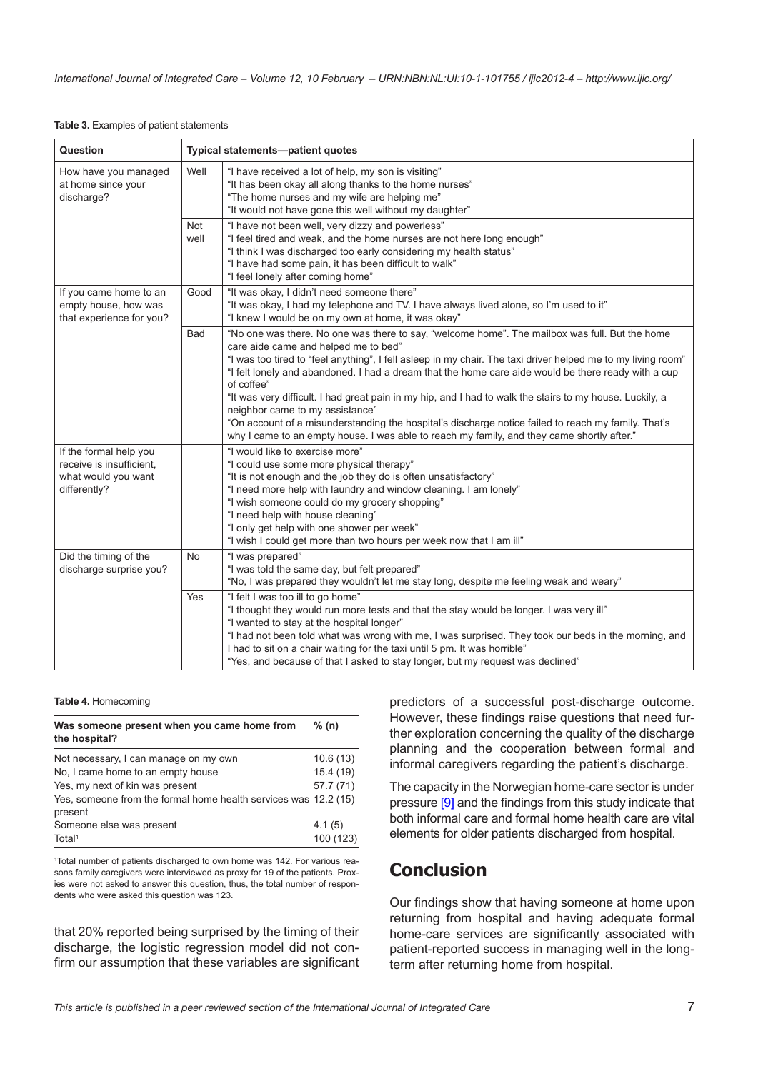## <span id="page-6-0"></span>**Table 3.** Examples of patient statements

| Question                                                                                  |             | Typical statements-patient quotes                                                                                                                                                                                                                                                                                                                                                                                                                                                                                                                                                                                                                                                                                               |
|-------------------------------------------------------------------------------------------|-------------|---------------------------------------------------------------------------------------------------------------------------------------------------------------------------------------------------------------------------------------------------------------------------------------------------------------------------------------------------------------------------------------------------------------------------------------------------------------------------------------------------------------------------------------------------------------------------------------------------------------------------------------------------------------------------------------------------------------------------------|
| How have you managed<br>at home since your<br>discharge?                                  | Well        | "I have received a lot of help, my son is visiting"<br>"It has been okay all along thanks to the home nurses"<br>"The home nurses and my wife are helping me"<br>"It would not have gone this well without my daughter"                                                                                                                                                                                                                                                                                                                                                                                                                                                                                                         |
|                                                                                           | Not<br>well | "I have not been well, very dizzy and powerless"<br>"I feel tired and weak, and the home nurses are not here long enough"<br>"I think I was discharged too early considering my health status"<br>"I have had some pain, it has been difficult to walk"<br>"I feel lonely after coming home"                                                                                                                                                                                                                                                                                                                                                                                                                                    |
| If you came home to an<br>empty house, how was<br>that experience for you?                | Good        | "It was okay, I didn't need someone there"<br>"It was okay, I had my telephone and TV. I have always lived alone, so I'm used to it"<br>"I knew I would be on my own at home, it was okay"                                                                                                                                                                                                                                                                                                                                                                                                                                                                                                                                      |
|                                                                                           | <b>Bad</b>  | "No one was there. No one was there to say, "welcome home". The mailbox was full. But the home<br>care aide came and helped me to bed"<br>"I was too tired to "feel anything", I fell asleep in my chair. The taxi driver helped me to my living room"<br>"I felt lonely and abandoned. I had a dream that the home care aide would be there ready with a cup<br>of coffee"<br>"It was very difficult. I had great pain in my hip, and I had to walk the stairs to my house. Luckily, a<br>neighbor came to my assistance"<br>"On account of a misunderstanding the hospital's discharge notice failed to reach my family. That's<br>why I came to an empty house. I was able to reach my family, and they came shortly after." |
| If the formal help you<br>receive is insufficient.<br>what would you want<br>differently? |             | "I would like to exercise more"<br>"I could use some more physical therapy"<br>"It is not enough and the job they do is often unsatisfactory"<br>"I need more help with laundry and window cleaning. I am lonely"<br>"I wish someone could do my grocery shopping"<br>"I need help with house cleaning"<br>"I only get help with one shower per week"<br>"I wish I could get more than two hours per week now that I am ill"                                                                                                                                                                                                                                                                                                    |
| Did the timing of the<br>discharge surprise you?                                          | <b>No</b>   | "I was prepared"<br>"I was told the same day, but felt prepared"<br>"No, I was prepared they wouldn't let me stay long, despite me feeling weak and weary"                                                                                                                                                                                                                                                                                                                                                                                                                                                                                                                                                                      |
|                                                                                           | Yes         | "I felt I was too ill to go home"<br>"I thought they would run more tests and that the stay would be longer. I was very ill"<br>"I wanted to stay at the hospital longer"<br>"I had not been told what was wrong with me, I was surprised. They took our beds in the morning, and<br>I had to sit on a chair waiting for the taxi until 5 pm. It was horrible"<br>"Yes, and because of that I asked to stay longer, but my request was declined"                                                                                                                                                                                                                                                                                |

### **Table 4.** Homecoming

| Was someone present when you came home from<br>the hospital?               | % (n)     |
|----------------------------------------------------------------------------|-----------|
| Not necessary, I can manage on my own                                      | 10.6(13)  |
| No. I came home to an empty house                                          | 15.4(19)  |
| Yes, my next of kin was present                                            | 57.7(71)  |
| Yes, someone from the formal home health services was 12.2 (15)<br>present |           |
| Someone else was present                                                   | 4.1(5)    |
| Total <sup>1</sup>                                                         | 100 (123) |

1 Total number of patients discharged to own home was 142. For various reasons family caregivers were interviewed as proxy for 19 of the patients. Proxies were not asked to answer this question, thus, the total number of respondents who were asked this question was 123.

that 20% reported being surprised by the timing of their discharge, the logistic regression model did not confirm our assumption that these variables are significant predictors of a successful post-discharge outcome. However, these findings raise questions that need further exploration concerning the quality of the discharge planning and the cooperation between formal and informal caregivers regarding the patient's discharge.

The capacity in the Norwegian home-care sector is under pressure [[9](#page-8-0)] and the findings from this study indicate that both informal care and formal home health care are vital elements for older patients discharged from hospital.

# **Conclusion**

Our findings show that having someone at home upon returning from hospital and having adequate formal home-care services are significantly associated with patient-reported success in managing well in the longterm after returning home from hospital.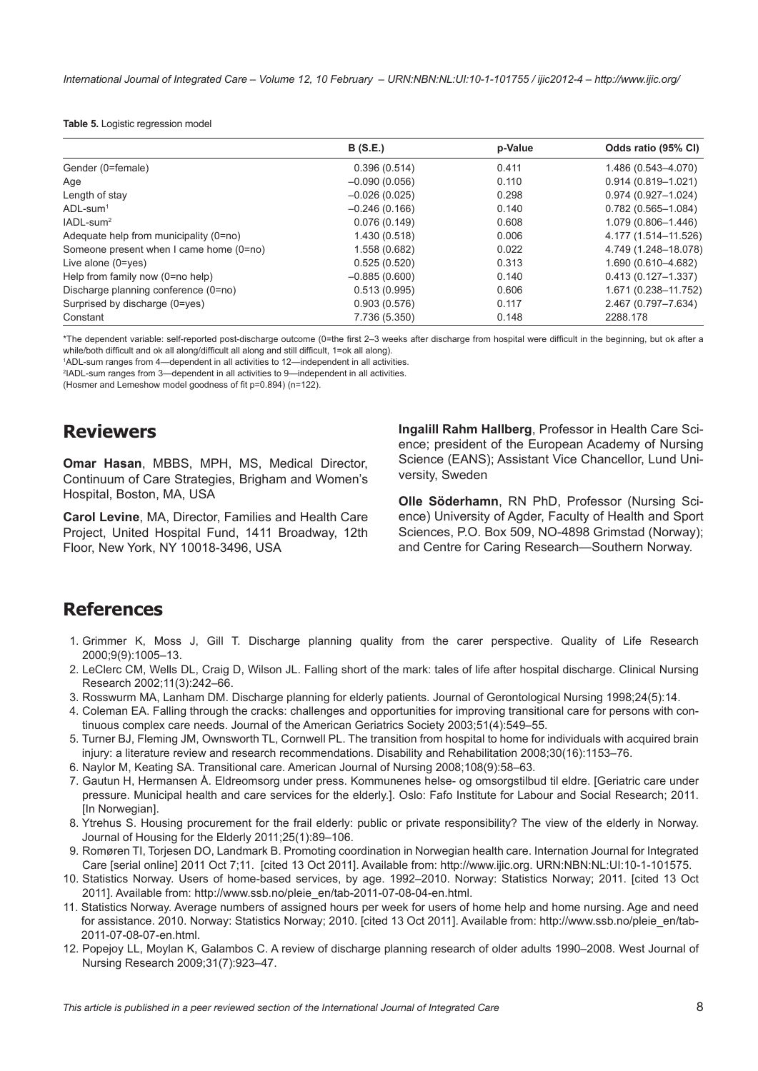### <span id="page-7-0"></span>**Table 5.** Logistic regression model

|                                         | <b>B</b> (S.E.) | p-Value | Odds ratio (95% CI)    |
|-----------------------------------------|-----------------|---------|------------------------|
| Gender (0=female)                       | 0.396(0.514)    | 0.411   | 1.486 (0.543-4.070)    |
| Age                                     | $-0.090(0.056)$ | 0.110   | $0.914(0.819 - 1.021)$ |
| Length of stay                          | $-0.026(0.025)$ | 0.298   | $0.974(0.927 - 1.024)$ |
| $ADL$ -sum <sup>1</sup>                 | $-0.246(0.166)$ | 0.140   | $0.782(0.565 - 1.084)$ |
| $IADL$ -sum <sup>2</sup>                | 0.076(0.149)    | 0.608   | 1.079 (0.806-1.446)    |
| Adequate help from municipality (0=no)  | 1.430 (0.518)   | 0.006   | 4.177 (1.514-11.526)   |
| Someone present when I came home (0=no) | 1.558 (0.682)   | 0.022   | 4.749 (1.248-18.078)   |
| Live alone $(0 = yes)$                  | 0.525(0.520)    | 0.313   | 1.690 (0.610-4.682)    |
| Help from family now (0=no help)        | $-0.885(0.600)$ | 0.140   | $0.413(0.127 - 1.337)$ |
| Discharge planning conference (0=no)    | 0.513(0.995)    | 0.606   | 1.671 (0.238-11.752)   |
| Surprised by discharge (0=yes)          | 0.903(0.576)    | 0.117   | 2.467 (0.797-7.634)    |
| Constant                                | 7.736 (5.350)   | 0.148   | 2288.178               |

\*The dependent variable: self-reported post-discharge outcome (0=the first 2–3 weeks after discharge from hospital were difficult in the beginning, but ok after a while/both difficult and ok all along/difficult all along and still difficult, 1=ok all along).

1 ADL-sum ranges from 4—dependent in all activities to 12—independent in all activities.

2 IADL-sum ranges from 3—dependent in all activities to 9—independent in all activities.

(Hosmer and Lemeshow model goodness of fit p=0.894) (n=122).

# **Reviewers**

**Omar Hasan**, MBBS, MPH, MS, Medical Director, Continuum of Care Strategies, Brigham and Women's Hospital, Boston, MA, USA

**Carol Levine**, MA, Director, Families and Health Care Project, United Hospital Fund, 1411 Broadway, 12th Floor, New York, NY 10018-3496, USA

**Ingalill Rahm Hallberg**, Professor in Health Care Science; president of the European Academy of Nursing Science (EANS); Assistant Vice Chancellor, Lund University, Sweden

**Olle Söderhamn**, RN PhD, Professor (Nursing Science) University of Agder, Faculty of Health and Sport Sciences, P.O. Box 509, NO-4898 Grimstad (Norway); and Centre for Caring Research—Southern Norway.

## **References**

- 1. Grimmer K, Moss J, Gill T. Discharge planning quality from the carer perspective. Quality of Life Research 2000;9(9):1005–13.
- 2. LeClerc CM, Wells DL, Craig D, Wilson JL. Falling short of the mark: tales of life after hospital discharge. Clinical Nursing Research 2002;11(3):242–66.
- 3. Rosswurm MA, Lanham DM. Discharge planning for elderly patients. Journal of Gerontological Nursing 1998;24(5):14.
- 4. Coleman EA. Falling through the cracks: challenges and opportunities for improving transitional care for persons with continuous complex care needs. Journal of the American Geriatrics Society 2003;51(4):549–55.
- 5. Turner BJ, Fleming JM, Ownsworth TL, Cornwell PL. The transition from hospital to home for individuals with acquired brain injury: a literature review and research recommendations. Disability and Rehabilitation 2008;30(16):1153–76.
- 6. Naylor M, Keating SA. Transitional care. American Journal of Nursing 2008;108(9):58–63.
- 7. Gautun H, Hermansen Å. Eldreomsorg under press. Kommunenes helse- og omsorgstilbud til eldre. [Geriatric care under pressure. Municipal health and care services for the elderly.]. Oslo: Fafo Institute for Labour and Social Research; 2011. [In Norwegian].
- 8. Ytrehus S. Housing procurement for the frail elderly: public or private responsibility? The view of the elderly in Norway. Journal of Housing for the Elderly 2011;25(1):89–106.
- 9. Romøren TI, Torjesen DO, Landmark B. Promoting coordination in Norwegian health care. Internation Journal for Integrated Care [serial online] 2011 Oct 7;11. [cited 13 Oct 2011]. Available from:<http://www.ijic.org>. URN:NBN:NL:UI:10-1-101575.
- 10. Statistics Norway. Users of home-based services, by age. 1992–2010. Norway: Statistics Norway; 2011. [cited 13 Oct 2011]. Available from: [http://www.ssb.no/pleie\\_en/tab-2011-07-08-04-en.html.](http://www.ssb.no/pleie_en/tab-2011-07-08-04-en.html)
- 11. Statistics Norway. Average numbers of assigned hours per week for users of home help and home nursing. Age and need for assistance. 2010. Norway: Statistics Norway; 2010. [cited 13 Oct 2011]. Available from: [http://www.ssb.no/pleie\\_en/tab-](http://www.ssb.no/pleie_en/tab-2011-07-08-07-en.html)[2011-07-08-07-en.html.](http://www.ssb.no/pleie_en/tab-2011-07-08-07-en.html)
- 12. Popejoy LL, Moylan K, Galambos C. A review of discharge planning research of older adults 1990–2008. West Journal of Nursing Research 2009;31(7):923–47.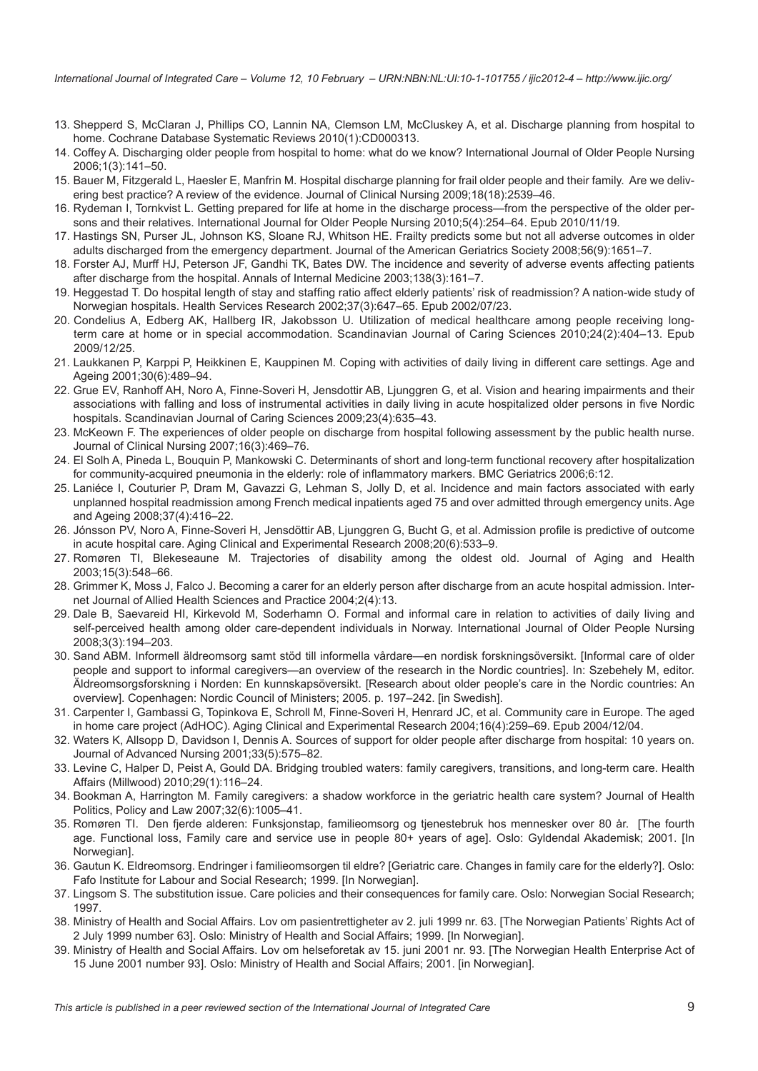<span id="page-8-0"></span>*International Journal of Integrated Care – Volume 12, 10 February – URN:NBN:NL:UI:10-1-101755 / ijic2012-4 – http://www.ijic.org/*

- 13. Shepperd S, McClaran J, Phillips CO, Lannin NA, Clemson LM, McCluskey A, et al. Discharge planning from hospital to home. Cochrane Database Systematic Reviews 2010(1):CD000313.
- 14. Coffey A. Discharging older people from hospital to home: what do we know? International Journal of Older People Nursing 2006;1(3):141–50.
- 15. Bauer M, Fitzgerald L, Haesler E, Manfrin M. Hospital discharge planning for frail older people and their family. Are we delivering best practice? A review of the evidence. Journal of Clinical Nursing 2009;18(18):2539–46.
- 16. Rydeman I, Tornkvist L. Getting prepared for life at home in the discharge process—from the perspective of the older persons and their relatives. International Journal for Older People Nursing 2010;5(4):254–64. Epub 2010/11/19.
- 17. Hastings SN, Purser JL, Johnson KS, Sloane RJ, Whitson HE. Frailty predicts some but not all adverse outcomes in older adults discharged from the emergency department. Journal of the American Geriatrics Society 2008;56(9):1651–7.
- 18. Forster AJ, Murff HJ, Peterson JF, Gandhi TK, Bates DW. The incidence and severity of adverse events affecting patients after discharge from the hospital. Annals of Internal Medicine 2003;138(3):161–7.
- 19. Heggestad T. Do hospital length of stay and staffing ratio affect elderly patients' risk of readmission? A nation-wide study of Norwegian hospitals. Health Services Research 2002;37(3):647–65. Epub 2002/07/23.
- 20. Condelius A, Edberg AK, Hallberg IR, Jakobsson U. Utilization of medical healthcare among people receiving longterm care at home or in special accommodation. Scandinavian Journal of Caring Sciences 2010;24(2):404–13. Epub 2009/12/25.
- 21. Laukkanen P, Karppi P, Heikkinen E, Kauppinen M. Coping with activities of daily living in different care settings. Age and Ageing 2001;30(6):489–94.
- 22. Grue EV, Ranhoff AH, Noro A, Finne-Soveri H, Jensdottir AB, Ljunggren G, et al. Vision and hearing impairments and their associations with falling and loss of instrumental activities in daily living in acute hospitalized older persons in five Nordic hospitals. Scandinavian Journal of Caring Sciences 2009;23(4):635–43.
- 23. McKeown F. The experiences of older people on discharge from hospital following assessment by the public health nurse. Journal of Clinical Nursing 2007;16(3):469–76.
- 24. El Solh A, Pineda L, Bouquin P, Mankowski C. Determinants of short and long-term functional recovery after hospitalization for community-acquired pneumonia in the elderly: role of inflammatory markers. BMC Geriatrics 2006;6:12.
- 25. Laniéce I, Couturier P, Dram M, Gavazzi G, Lehman S, Jolly D, et al. Incidence and main factors associated with early unplanned hospital readmission among French medical inpatients aged 75 and over admitted through emergency units. Age and Ageing 2008;37(4):416–22.
- 26. Jónsson PV, Noro A, Finne-Soveri H, Jensdöttir AB, Ljunggren G, Bucht G, et al. Admission profile is predictive of outcome in acute hospital care. Aging Clinical and Experimental Research 2008;20(6):533–9.
- 27. Romøren TI, Blekeseaune M. Trajectories of disability among the oldest old. Journal of Aging and Health 2003;15(3):548–66.
- 28. Grimmer K, Moss J, Falco J. Becoming a carer for an elderly person after discharge from an acute hospital admission. Internet Journal of Allied Health Sciences and Practice 2004;2(4):13.
- 29. Dale B, Saevareid HI, Kirkevold M, Soderhamn O. Formal and informal care in relation to activities of daily living and self-perceived health among older care-dependent individuals in Norway. International Journal of Older People Nursing 2008;3(3):194–203.
- 30. Sand ABM. Informell äldreomsorg samt stöd till informella vårdare—en nordisk forskningsöversikt. [Informal care of older people and support to informal caregivers—an overview of the research in the Nordic countries]. In: Szebehely M, editor. Äldreomsorgsforskning i Norden: En kunnskapsöversikt. [Research about older people's care in the Nordic countries: An overview]. Copenhagen: Nordic Council of Ministers; 2005. p. 197–242. [in Swedish].
- 31. Carpenter I, Gambassi G, Topinkova E, Schroll M, Finne-Soveri H, Henrard JC, et al. Community care in Europe. The aged in home care project (AdHOC). Aging Clinical and Experimental Research 2004;16(4):259–69. Epub 2004/12/04.
- 32. Waters K, Allsopp D, Davidson I, Dennis A. Sources of support for older people after discharge from hospital: 10 years on. Journal of Advanced Nursing 2001;33(5):575–82.
- 33. Levine C, Halper D, Peist A, Gould DA. Bridging troubled waters: family caregivers, transitions, and long-term care. Health Affairs (Millwood) 2010;29(1):116–24.
- 34. Bookman A, Harrington M. Family caregivers: a shadow workforce in the geriatric health care system? Journal of Health Politics, Policy and Law 2007;32(6):1005–41.
- 35. Romøren TI. Den fjerde alderen: Funksjonstap, familieomsorg og tjenestebruk hos mennesker over 80 år. [The fourth age. Functional loss, Family care and service use in people 80+ years of age]. Oslo: Gyldendal Akademisk; 2001. [In Norwegian].
- 36. Gautun K. Eldreomsorg. Endringer i familieomsorgen til eldre? [Geriatric care. Changes in family care for the elderly?]. Oslo: Fafo Institute for Labour and Social Research; 1999. [In Norwegian].
- 37. Lingsom S. The substitution issue. Care policies and their consequences for family care. Oslo: Norwegian Social Research; 1997.
- 38. Ministry of Health and Social Affairs. Lov om pasientrettigheter av 2. juli 1999 nr. 63. [The Norwegian Patients' Rights Act of 2 July 1999 number 63]. Oslo: Ministry of Health and Social Affairs; 1999. [In Norwegian].
- 39. Ministry of Health and Social Affairs. Lov om helseforetak av 15. juni 2001 nr. 93. [The Norwegian Health Enterprise Act of 15 June 2001 number 93]. Oslo: Ministry of Health and Social Affairs; 2001. [in Norwegian].